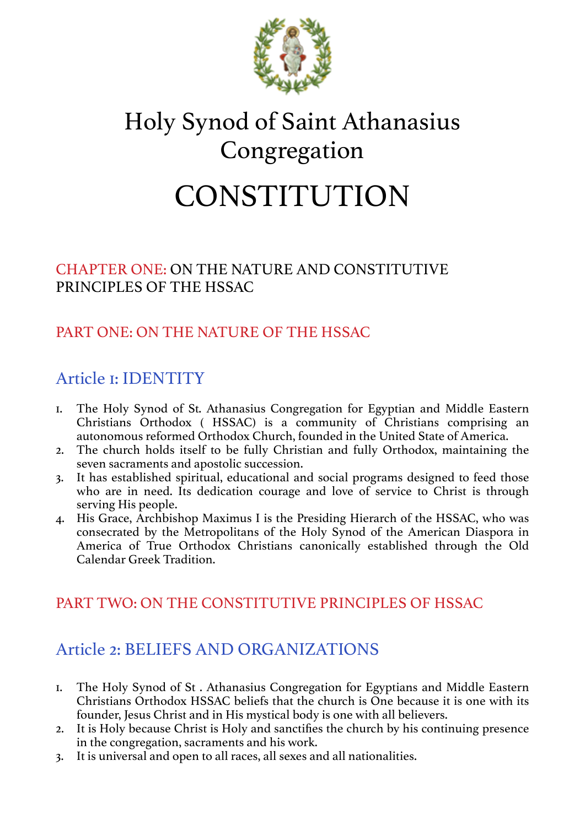

# Holy Synod of Saint Athanasius Congregation

# CONSTITUTION

#### CHAPTER ONE: ON THE NATURE AND CONSTITUTIVE PRINCIPLES OF THE HSSAC

## PART ONE: ON THE NATURE OF THE HSSAC

# Article 1: IDENTITY

- 1. The Holy Synod of St. Athanasius Congregation for Egyptian and Middle Eastern Christians Orthodox ( HSSAC) is a community of Christians comprising an autonomous reformed Orthodox Church, founded in the United State of America.
- 2. The church holds itself to be fully Christian and fully Orthodox, maintaining the seven sacraments and apostolic succession.
- 3. It has established spiritual, educational and social programs designed to feed those who are in need. Its dedication courage and love of service to Christ is through serving His people.
- 4. His Grace, Archbishop Maximus I is the Presiding Hierarch of the HSSAC, who was consecrated by the Metropolitans of the Holy Synod of the American Diaspora in America of True Orthodox Christians canonically established through the Old Calendar Greek Tradition.

#### PART TWO: ON THE CONSTITUTIVE PRINCIPLES OF HSSAC

# Article 2: BELIEFS AND ORGANIZATIONS

- 1. The Holy Synod of St . Athanasius Congregation for Egyptians and Middle Eastern Christians Orthodox HSSAC beliefs that the church is One because it is one with its founder, Jesus Christ and in His mystical body is one with all believers.
- 2. It is Holy because Christ is Holy and sanctifies the church by his continuing presence in the congregation, sacraments and his work.
- 3. It is universal and open to all races, all sexes and all nationalities.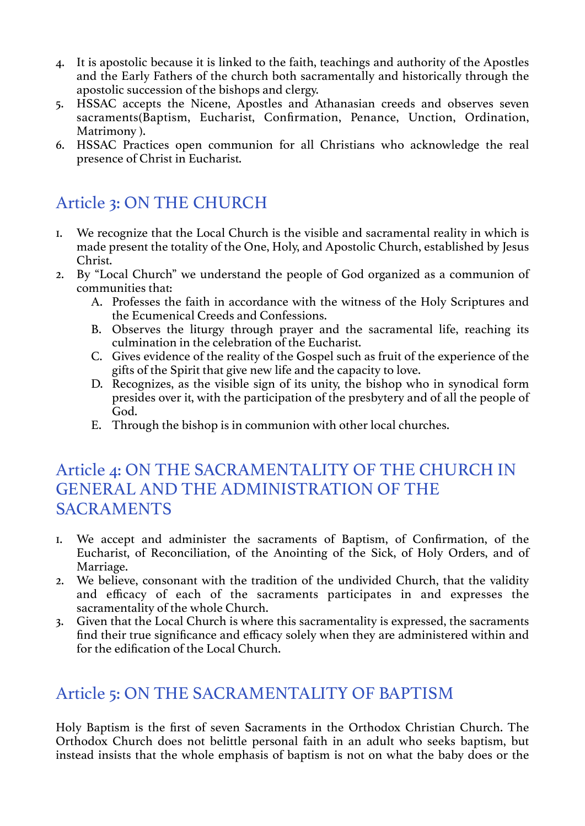- 4. It is apostolic because it is linked to the faith, teachings and authority of the Apostles and the Early Fathers of the church both sacramentally and historically through the apostolic succession of the bishops and clergy.
- 5. HSSAC accepts the Nicene, Apostles and Athanasian creeds and observes seven sacraments(Baptism, Eucharist, Confirmation, Penance, Unction, Ordination, Matrimony ).
- 6. HSSAC Practices open communion for all Christians who acknowledge the real presence of Christ in Eucharist.

# Article 3: ON THE CHURCH

- 1. We recognize that the Local Church is the visible and sacramental reality in which is made present the totality of the One, Holy, and Apostolic Church, established by Jesus Christ.
- 2. By "Local Church" we understand the people of God organized as a communion of communities that:
	- A. Professes the faith in accordance with the witness of the Holy Scriptures and the Ecumenical Creeds and Confessions.
	- B. Observes the liturgy through prayer and the sacramental life, reaching its culmination in the celebration of the Eucharist.
	- C. Gives evidence of the reality of the Gospel such as fruit of the experience of the gifts of the Spirit that give new life and the capacity to love.
	- D. Recognizes, as the visible sign of its unity, the bishop who in synodical form presides over it, with the participation of the presbytery and of all the people of God.
	- E. Through the bishop is in communion with other local churches.

#### Article 4: ON THE SACRAMENTALITY OF THE CHURCH IN GENERAL AND THE ADMINISTRATION OF THE SACRAMENTS

- 1. We accept and administer the sacraments of Baptism, of Confirmation, of the Eucharist, of Reconciliation, of the Anointing of the Sick, of Holy Orders, and of Marriage.
- 2. We believe, consonant with the tradition of the undivided Church, that the validity and efficacy of each of the sacraments participates in and expresses the sacramentality of the whole Church.
- 3. Given that the Local Church is where this sacramentality is expressed, the sacraments find their true significance and efficacy solely when they are administered within and for the edification of the Local Church.

## Article 5: ON THE SACRAMENTALITY OF BAPTISM

Holy Baptism is the first of seven Sacraments in the Orthodox Christian Church. The Orthodox Church does not belittle personal faith in an adult who seeks baptism, but instead insists that the whole emphasis of baptism is not on what the baby does or the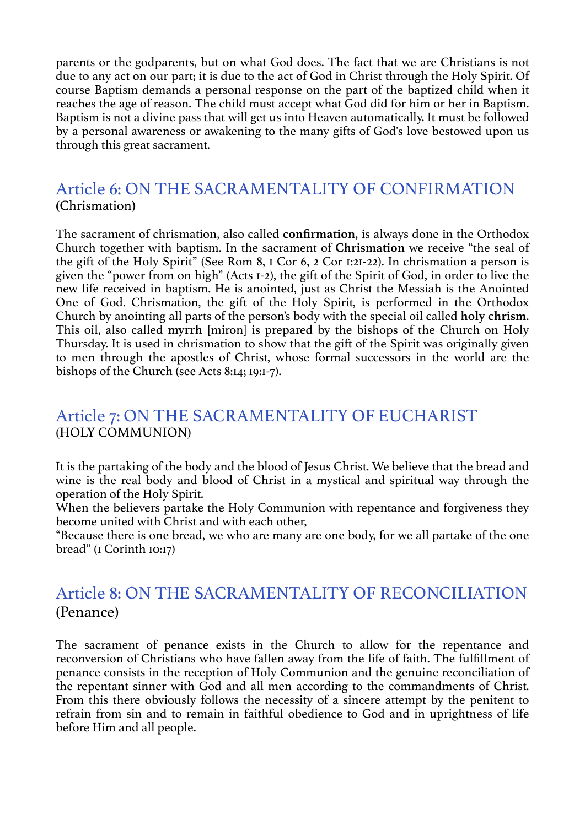parents or the godparents, but on what God does. The fact that we are Christians is not due to any act on our part; it is due to the act of God in Christ through the Holy Spirit. Of course Baptism demands a personal response on the part of the baptized child when it reaches the age of reason. The child must accept what God did for him or her in Baptism. Baptism is not a divine pass that will get us into Heaven automatically. It must be followed by a personal awareness or awakening to the many gifts of God's love bestowed upon us through this great sacrament.

# Article 6: ON THE SACRAMENTALITY OF CONFIRMATION **(**Chrismation**)**

The sacrament of chrismation, also called **confirmation**, is always done in the Orthodox Church together with baptism. In the sacrament of **Chrismation** we receive "the seal of the gift of the Holy Spirit" (See Rom 8, 1 Cor 6, 2 Cor 1:21-22). In chrismation a person is given the "power from on high" (Acts 1-2), the gift of the Spirit of God, in order to live the new life received in baptism. He is anointed, just as Christ the Messiah is the Anointed One of God. Chrismation, the gift of the Holy Spirit, is performed in the Orthodox Church by anointing all parts of the person's body with the special oil called **holy chrism**. This oil, also called **myrrh** [miron] is prepared by the bishops of the Church on Holy Thursday. It is used in chrismation to show that the gift of the Spirit was originally given to men through the apostles of Christ, whose formal successors in the world are the bishops of the Church (see Acts 8:14; 19:1-7).

#### Article 7: ON THE SACRAMENTALITY OF EUCHARIST (HOLY COMMUNION)

It is the partaking of the body and the blood of Jesus Christ. We believe that the bread and wine is the real body and blood of Christ in a mystical and spiritual way through the operation of the Holy Spirit.

When the believers partake the Holy Communion with repentance and forgiveness they become united with Christ and with each other,

"Because there is one bread, we who are many are one body, for we all partake of the one bread" (1 Corinth 10:17)

#### Article 8: ON THE SACRAMENTALITY OF RECONCILIATION (Penance)

The sacrament of penance exists in the Church to allow for the repentance and reconversion of Christians who have fallen away from the life of faith. The fulfillment of penance consists in the reception of Holy Communion and the genuine reconciliation of the repentant sinner with God and all men according to the commandments of Christ. From this there obviously follows the necessity of a sincere attempt by the penitent to refrain from sin and to remain in faithful obedience to God and in uprightness of life before Him and all people.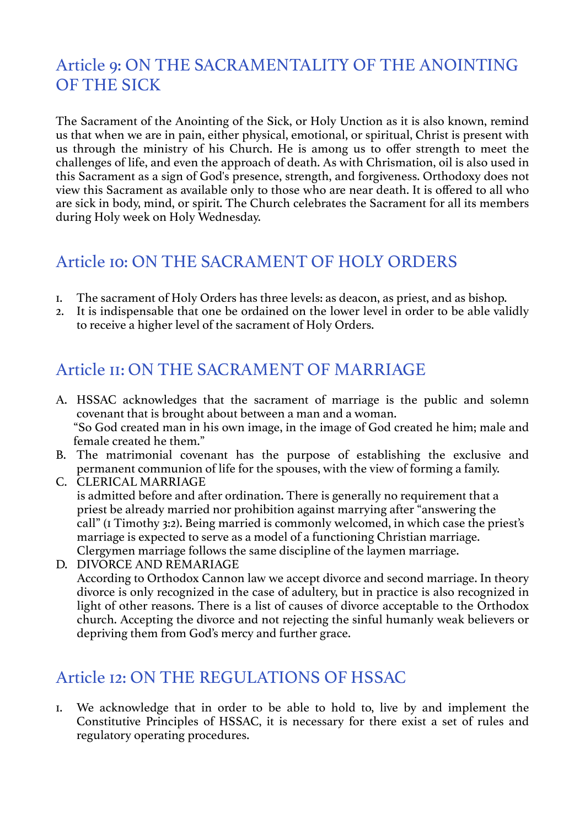## Article 9: ON THE SACRAMENTALITY OF THE ANOINTING OF THE SICK

The Sacrament of the Anointing of the Sick, or Holy Unction as it is also known, remind us that when we are in pain, either physical, emotional, or spiritual, Christ is present with us through the ministry of his Church. He is among us to offer strength to meet the challenges of life, and even the approach of death. As with Chrismation, oil is also used in this Sacrament as a sign of God's presence, strength, and forgiveness. Orthodoxy does not view this Sacrament as available only to those who are near death. It is offered to all who are sick in body, mind, or spirit. The Church celebrates the Sacrament for all its members during Holy week on Holy Wednesday.

## Article 10: ON THE SACRAMENT OF HOLY ORDERS

- 1. The sacrament of Holy Orders has three levels: as deacon, as priest, and as bishop.
- 2. It is indispensable that one be ordained on the lower level in order to be able validly to receive a higher level of the sacrament of Holy Orders.

# Article 11: ON THE SACRAMENT OF MARRIAGE

- A. HSSAC acknowledges that the sacrament of marriage is the public and solemn covenant that is brought about between a man and a woman. "So God created man in his own image, in the image of God created he him; male and female created he them."
- B. The matrimonial covenant has the purpose of establishing the exclusive and permanent communion of life for the spouses, with the view of forming a family.
- C. CLERICAL MARRIAGE is admitted before and after ordination. There is generally no requirement that a priest be already married nor prohibition against marrying after "answering the call" (1 Timothy 3:2). Being married is commonly welcomed, in which case the priest's marriage is expected to serve as a model of a functioning Christian marriage. Clergymen marriage follows the same discipline of the laymen marriage.
- D. DIVORCE AND REMARIAGE According to Orthodox Cannon law we accept divorce and second marriage. In theory divorce is only recognized in the case of adultery, but in practice is also recognized in light of other reasons. There is a list of causes of divorce acceptable to the Orthodox church. Accepting the divorce and not rejecting the sinful humanly weak believers or depriving them from God's mercy and further grace.

## Article 12: ON THE REGULATIONS OF HSSAC

1. We acknowledge that in order to be able to hold to, live by and implement the Constitutive Principles of HSSAC, it is necessary for there exist a set of rules and regulatory operating procedures.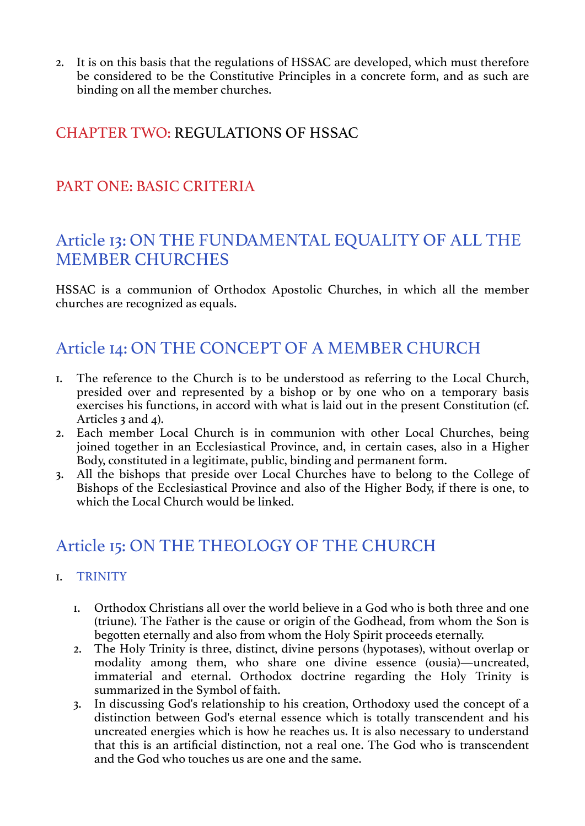2. It is on this basis that the regulations of HSSAC are developed, which must therefore be considered to be the Constitutive Principles in a concrete form, and as such are binding on all the member churches.

#### CHAPTER TWO: REGULATIONS OF HSSAC

#### PART ONE: BASIC CRITERIA

### Article 13: ON THE FUNDAMENTAL EQUALITY OF ALL THE MEMBER CHURCHES

HSSAC is a communion of Orthodox Apostolic Churches, in which all the member churches are recognized as equals.

## Article 14: ON THE CONCEPT OF A MEMBER CHURCH

- 1. The reference to the Church is to be understood as referring to the Local Church, presided over and represented by a bishop or by one who on a temporary basis exercises his functions, in accord with what is laid out in the present Constitution (cf. Articles 3 and 4).
- 2. Each member Local Church is in communion with other Local Churches, being joined together in an Ecclesiastical Province, and, in certain cases, also in a Higher Body, constituted in a legitimate, public, binding and permanent form.
- 3. All the bishops that preside over Local Churches have to belong to the College of Bishops of the Ecclesiastical Province and also of the Higher Body, if there is one, to which the Local Church would be linked.

# Article 15: ON THE THEOLOGY OF THE CHURCH

- 1. TRINITY
	- 1. Orthodox Christians all over the world believe in a God who is both three and one (triune). The Father is the cause or origin of the Godhead, from whom the Son is begotten eternally and also from whom the Holy Spirit proceeds eternally.
	- 2. The Holy Trinity is three, distinct, divine persons (hypotases), without overlap or modality among them, who share one divine essence (ousia)—uncreated, immaterial and eternal. Orthodox doctrine regarding the Holy Trinity is summarized in the Symbol of faith.
	- 3. In discussing God's relationship to his creation, Orthodoxy used the concept of a distinction between God's eternal essence which is totally transcendent and his uncreated energies which is how he reaches us. It is also necessary to understand that this is an artificial distinction, not a real one. The God who is transcendent and the God who touches us are one and the same.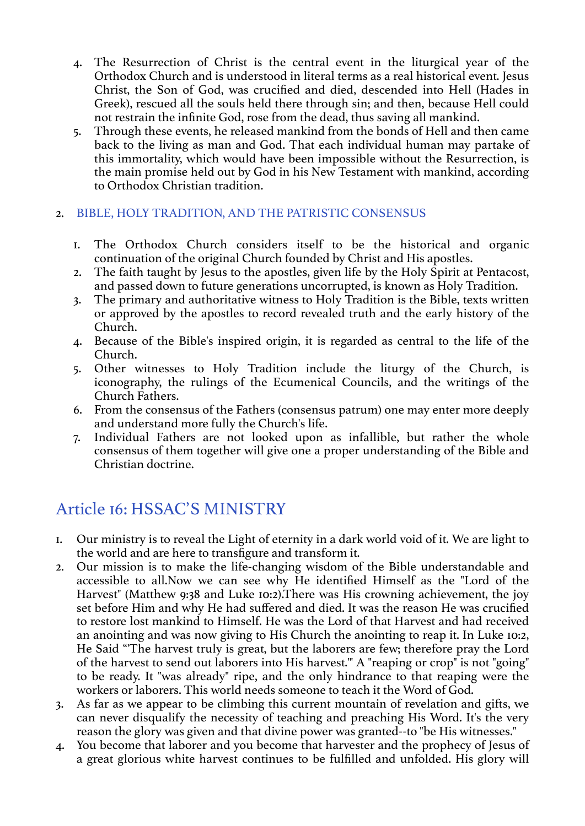- 4. The Resurrection of Christ is the central event in the liturgical year of the Orthodox Church and is understood in literal terms as a real historical event. Jesus Christ, the Son of God, was crucified and died, descended into Hell (Hades in Greek), rescued all the souls held there through sin; and then, because Hell could not restrain the infinite God, rose from the dead, thus saving all mankind.
- 5. Through these events, he released mankind from the bonds of Hell and then came back to the living as man and God. That each individual human may partake of this immortality, which would have been impossible without the Resurrection, is the main promise held out by God in his New Testament with mankind, according to Orthodox Christian tradition.

#### 2. BIBLE, HOLY TRADITION, AND THE PATRISTIC CONSENSUS

- 1. The Orthodox Church considers itself to be the historical and organic continuation of the original Church founded by Christ and His apostles.
- 2. The faith taught by Jesus to the apostles, given life by the Holy Spirit at Pentacost, and passed down to future generations uncorrupted, is known as Holy Tradition.
- 3. The primary and authoritative witness to Holy Tradition is the Bible, texts written or approved by the apostles to record revealed truth and the early history of the Church.
- 4. Because of the Bible's inspired origin, it is regarded as central to the life of the Church.
- 5. Other witnesses to Holy Tradition include the liturgy of the Church, is iconography, the rulings of the Ecumenical Councils, and the writings of the Church Fathers.
- 6. From the consensus of the Fathers (consensus patrum) one may enter more deeply and understand more fully the Church's life.
- 7. Individual Fathers are not looked upon as infallible, but rather the whole consensus of them together will give one a proper understanding of the Bible and Christian doctrine.

# Article 16: HSSAC'S MINISTRY

- 1. Our ministry is to reveal the Light of eternity in a dark world void of it. We are light to the world and are here to transfigure and transform it.
- 2. Our mission is to make the life-changing wisdom of the Bible understandable and accessible to all.Now we can see why He identified Himself as the "Lord of the Harvest" (Matthew 9:38 and Luke 10:2).There was His crowning achievement, the joy set before Him and why He had suffered and died. It was the reason He was crucified to restore lost mankind to Himself. He was the Lord of that Harvest and had received an anointing and was now giving to His Church the anointing to reap it. In Luke 10:2, He Said "'The harvest truly is great, but the laborers are few; therefore pray the Lord of the harvest to send out laborers into His harvest.'" A "reaping or crop" is not "going" to be ready. It "was already" ripe, and the only hindrance to that reaping were the workers or laborers. This world needs someone to teach it the Word of God.
- 3. As far as we appear to be climbing this current mountain of revelation and gifts, we can never disqualify the necessity of teaching and preaching His Word. It's the very reason the glory was given and that divine power was granted--to "be His witnesses."
- 4. You become that laborer and you become that harvester and the prophecy of Jesus of a great glorious white harvest continues to be fulfilled and unfolded. His glory will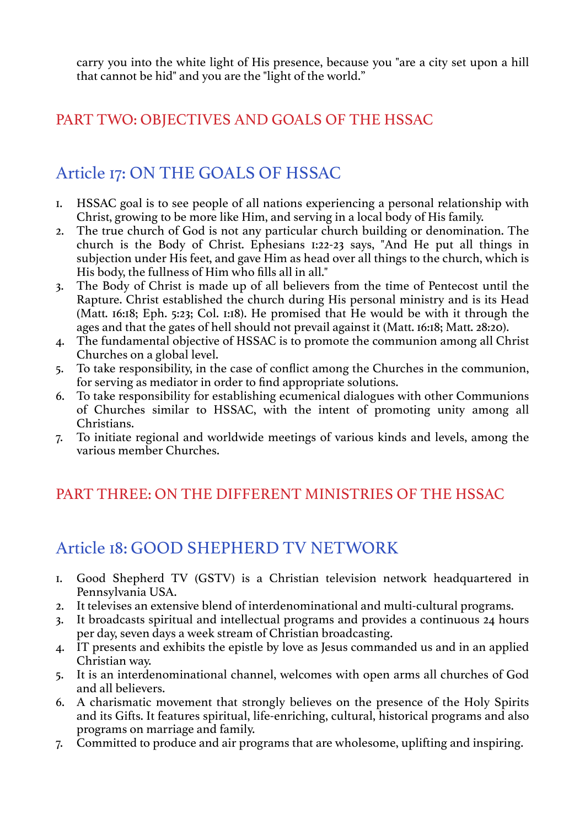carry you into the white light of His presence, because you "are a city set upon a hill that cannot be hid" and you are the "light of the world."

#### PART TWO: OBJECTIVES AND GOALS OF THE HSSAC

# Article 17: ON THE GOALS OF HSSAC

- 1. HSSAC goal is to see people of all nations experiencing a personal relationship with Christ, growing to be more like Him, and serving in a local body of His family.
- 2. The true church of God is not any particular church building or denomination. The church is the Body of Christ. Ephesians 1:22-23 says, "And He put all things in subjection under His feet, and gave Him as head over all things to the church, which is His body, the fullness of Him who fills all in all."
- 3. The Body of Christ is made up of all believers from the time of Pentecost until the Rapture. Christ established the church during His personal ministry and is its Head (Matt. 16:18; Eph. 5:23; Col. 1:18). He promised that He would be with it through the ages and that the gates of hell should not prevail against it (Matt. 16:18; Matt. 28:20).
- 4. The fundamental objective of HSSAC is to promote the communion among all Christ Churches on a global level.
- 5. To take responsibility, in the case of conflict among the Churches in the communion, for serving as mediator in order to find appropriate solutions.
- 6. To take responsibility for establishing ecumenical dialogues with other Communions of Churches similar to HSSAC, with the intent of promoting unity among all Christians.
- 7. To initiate regional and worldwide meetings of various kinds and levels, among the various member Churches.

#### PART THREE: ON THE DIFFERENT MINISTRIES OF THE HSSAC

## Article 18: GOOD SHEPHERD TV NETWORK

- 1. Good Shepherd TV (GSTV) is a Christian television network headquartered in Pennsylvania USA.
- 2. It televises an extensive blend of interdenominational and multi-cultural programs.
- 3. It broadcasts spiritual and intellectual programs and provides a continuous 24 hours per day, seven days a week stream of Christian broadcasting.
- 4. IT presents and exhibits the epistle by love as Jesus commanded us and in an applied Christian way.
- 5. It is an interdenominational channel, welcomes with open arms all churches of God and all believers.
- 6. A charismatic movement that strongly believes on the presence of the Holy Spirits and its Gifts. It features spiritual, life-enriching, cultural, historical programs and also programs on marriage and family.
- 7. Committed to produce and air programs that are wholesome, uplifting and inspiring.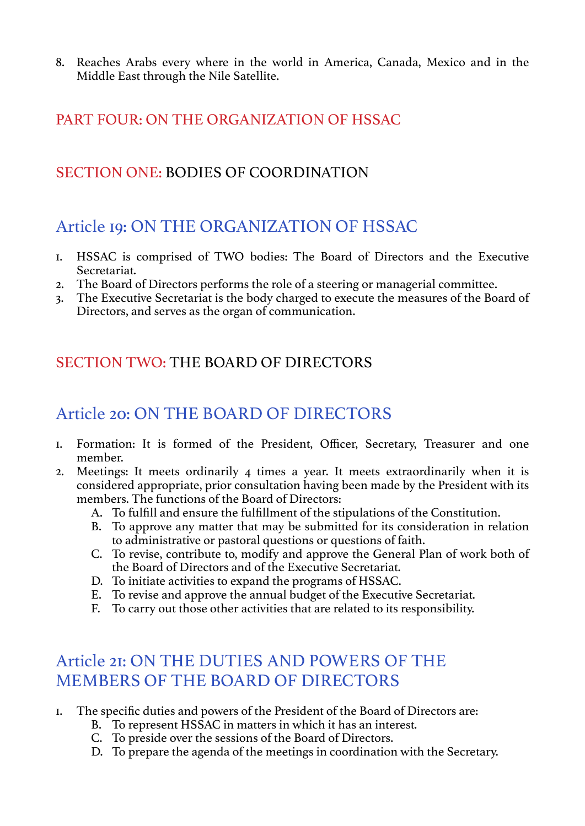8. Reaches Arabs every where in the world in America, Canada, Mexico and in the Middle East through the Nile Satellite.

#### PART FOUR: ON THE ORGANIZATION OF HSSAC

#### SECTION ONE: BODIES OF COORDINATION

#### Article 19: ON THE ORGANIZATION OF HSSAC

- 1. HSSAC is comprised of TWO bodies: The Board of Directors and the Executive Secretariat.
- 2. The Board of Directors performs the role of a steering or managerial committee.
- 3. The Executive Secretariat is the body charged to execute the measures of the Board of Directors, and serves as the organ of communication.

#### SECTION TWO: THE BOARD OF DIRECTORS

# Article 20: ON THE BOARD OF DIRECTORS

- 1. Formation: It is formed of the President, Officer, Secretary, Treasurer and one member.
- 2. Meetings: It meets ordinarily 4 times a year. It meets extraordinarily when it is considered appropriate, prior consultation having been made by the President with its members. The functions of the Board of Directors:
	- A. To fulfill and ensure the fulfillment of the stipulations of the Constitution.
	- B. To approve any matter that may be submitted for its consideration in relation to administrative or pastoral questions or questions of faith.
	- C. To revise, contribute to, modify and approve the General Plan of work both of the Board of Directors and of the Executive Secretariat.
	- D. To initiate activities to expand the programs of HSSAC.
	- E. To revise and approve the annual budget of the Executive Secretariat.
	- F. To carry out those other activities that are related to its responsibility.

## Article 21: ON THE DUTIES AND POWERS OF THE MEMBERS OF THE BOARD OF DIRECTORS

- 1. The specific duties and powers of the President of the Board of Directors are:
	- B. To represent HSSAC in matters in which it has an interest.
	- C. To preside over the sessions of the Board of Directors.
	- D. To prepare the agenda of the meetings in coordination with the Secretary.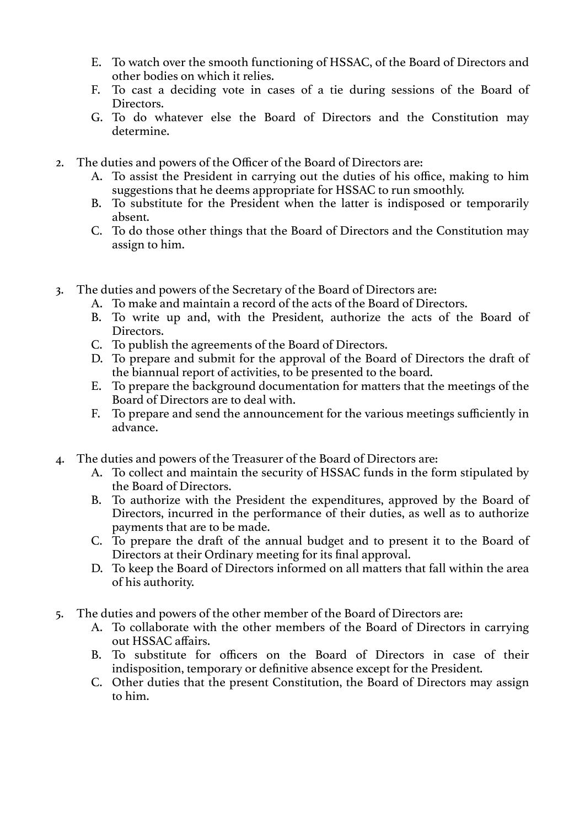- E. To watch over the smooth functioning of HSSAC, of the Board of Directors and other bodies on which it relies.
- F. To cast a deciding vote in cases of a tie during sessions of the Board of Directors.
- G. To do whatever else the Board of Directors and the Constitution may determine.
- 2. The duties and powers of the Officer of the Board of Directors are:
	- A. To assist the President in carrying out the duties of his office, making to him suggestions that he deems appropriate for HSSAC to run smoothly.
	- B. To substitute for the President when the latter is indisposed or temporarily absent.
	- C. To do those other things that the Board of Directors and the Constitution may assign to him.
- 3. The duties and powers of the Secretary of the Board of Directors are:
	- A. To make and maintain a record of the acts of the Board of Directors.
		- B. To write up and, with the President, authorize the acts of the Board of Directors.
		- C. To publish the agreements of the Board of Directors.
		- D. To prepare and submit for the approval of the Board of Directors the draft of the biannual report of activities, to be presented to the board.
		- E. To prepare the background documentation for matters that the meetings of the Board of Directors are to deal with.
		- F. To prepare and send the announcement for the various meetings sufficiently in advance.
- 4. The duties and powers of the Treasurer of the Board of Directors are:
	- A. To collect and maintain the security of HSSAC funds in the form stipulated by the Board of Directors.
	- B. To authorize with the President the expenditures, approved by the Board of Directors, incurred in the performance of their duties, as well as to authorize payments that are to be made.
	- C. To prepare the draft of the annual budget and to present it to the Board of Directors at their Ordinary meeting for its final approval.
	- D. To keep the Board of Directors informed on all matters that fall within the area of his authority.
- 5. The duties and powers of the other member of the Board of Directors are:
	- A. To collaborate with the other members of the Board of Directors in carrying out HSSAC affairs.
	- B. To substitute for officers on the Board of Directors in case of their indisposition, temporary or definitive absence except for the President.
	- C. Other duties that the present Constitution, the Board of Directors may assign to him.